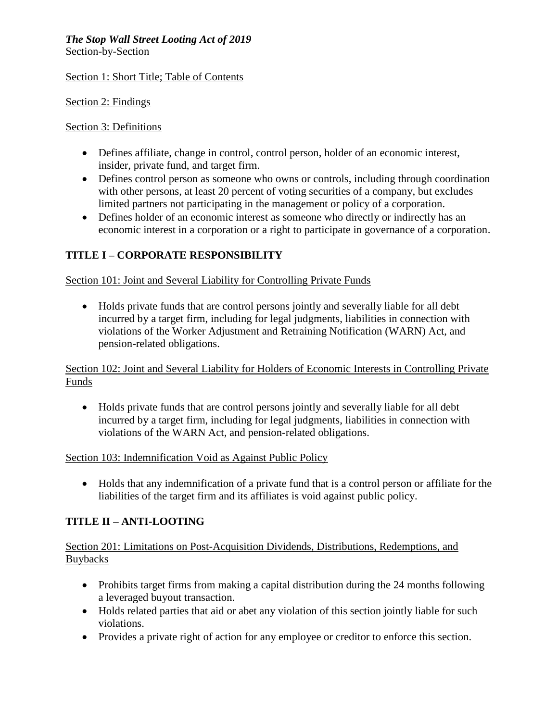# *The Stop Wall Street Looting Act of 2019*

Section-by-Section

#### Section 1: Short Title; Table of Contents

Section 2: Findings

#### Section 3: Definitions

- Defines affiliate, change in control, control person, holder of an economic interest, insider, private fund, and target firm.
- Defines control person as someone who owns or controls, including through coordination with other persons, at least 20 percent of voting securities of a company, but excludes limited partners not participating in the management or policy of a corporation.
- Defines holder of an economic interest as someone who directly or indirectly has an economic interest in a corporation or a right to participate in governance of a corporation.

## **TITLE I – CORPORATE RESPONSIBILITY**

#### Section 101: Joint and Several Liability for Controlling Private Funds

 Holds private funds that are control persons jointly and severally liable for all debt incurred by a target firm, including for legal judgments, liabilities in connection with violations of the Worker Adjustment and Retraining Notification (WARN) Act, and pension-related obligations.

Section 102: Joint and Several Liability for Holders of Economic Interests in Controlling Private Funds

 Holds private funds that are control persons jointly and severally liable for all debt incurred by a target firm, including for legal judgments, liabilities in connection with violations of the WARN Act, and pension-related obligations.

#### Section 103: Indemnification Void as Against Public Policy

 Holds that any indemnification of a private fund that is a control person or affiliate for the liabilities of the target firm and its affiliates is void against public policy.

## **TITLE II – ANTI-LOOTING**

#### Section 201: Limitations on Post-Acquisition Dividends, Distributions, Redemptions, and **Buybacks**

- Prohibits target firms from making a capital distribution during the 24 months following a leveraged buyout transaction.
- Holds related parties that aid or abet any violation of this section jointly liable for such violations.
- Provides a private right of action for any employee or creditor to enforce this section.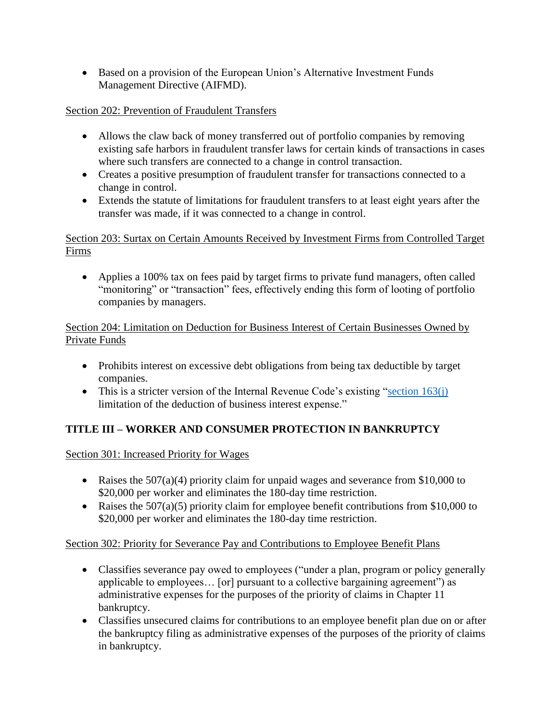• Based on a provision of the European Union's Alternative Investment Funds Management Directive (AIFMD).

### Section 202: Prevention of Fraudulent Transfers

- Allows the claw back of money transferred out of portfolio companies by removing existing safe harbors in fraudulent transfer laws for certain kinds of transactions in cases where such transfers are connected to a change in control transaction.
- Creates a positive presumption of fraudulent transfer for transactions connected to a change in control.
- Extends the statute of limitations for fraudulent transfers to at least eight years after the transfer was made, if it was connected to a change in control.

Section 203: Surtax on Certain Amounts Received by Investment Firms from Controlled Target Firms

 Applies a 100% tax on fees paid by target firms to private fund managers, often called "monitoring" or "transaction" fees, effectively ending this form of looting of portfolio companies by managers.

#### Section 204: Limitation on Deduction for Business Interest of Certain Businesses Owned by Private Funds

- Prohibits interest on excessive debt obligations from being tax deductible by target companies.
- This is a stricter version of the Internal Revenue Code's existing "section  $163(i)$ limitation of the deduction of business interest expense."

# **TITLE III – WORKER AND CONSUMER PROTECTION IN BANKRUPTCY**

Section 301: Increased Priority for Wages

- Raises the 507(a)(4) priority claim for unpaid wages and severance from \$10,000 to \$20,000 per worker and eliminates the 180-day time restriction.
- Raises the  $507(a)(5)$  priority claim for employee benefit contributions from \$10,000 to \$20,000 per worker and eliminates the 180-day time restriction.

## Section 302: Priority for Severance Pay and Contributions to Employee Benefit Plans

- Classifies severance pay owed to employees ("under a plan, program or policy generally applicable to employees… [or] pursuant to a collective bargaining agreement") as administrative expenses for the purposes of the priority of claims in Chapter 11 bankruptcy.
- Classifies unsecured claims for contributions to an employee benefit plan due on or after the bankruptcy filing as administrative expenses of the purposes of the priority of claims in bankruptcy.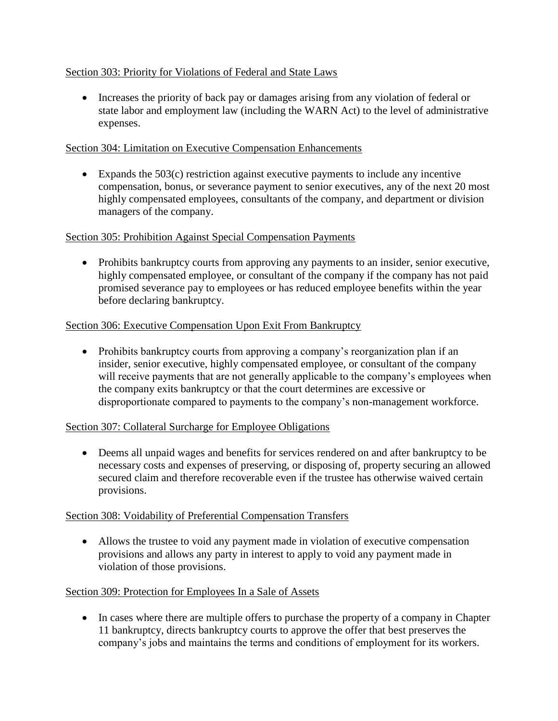#### Section 303: Priority for Violations of Federal and State Laws

• Increases the priority of back pay or damages arising from any violation of federal or state labor and employment law (including the WARN Act) to the level of administrative expenses.

#### Section 304: Limitation on Executive Compensation Enhancements

 Expands the 503(c) restriction against executive payments to include any incentive compensation, bonus, or severance payment to senior executives, any of the next 20 most highly compensated employees, consultants of the company, and department or division managers of the company.

#### Section 305: Prohibition Against Special Compensation Payments

• Prohibits bankruptcy courts from approving any payments to an insider, senior executive, highly compensated employee, or consultant of the company if the company has not paid promised severance pay to employees or has reduced employee benefits within the year before declaring bankruptcy.

#### Section 306: Executive Compensation Upon Exit From Bankruptcy

 Prohibits bankruptcy courts from approving a company's reorganization plan if an insider, senior executive, highly compensated employee, or consultant of the company will receive payments that are not generally applicable to the company's employees when the company exits bankruptcy or that the court determines are excessive or disproportionate compared to payments to the company's non-management workforce.

#### Section 307: Collateral Surcharge for Employee Obligations

 Deems all unpaid wages and benefits for services rendered on and after bankruptcy to be necessary costs and expenses of preserving, or disposing of, property securing an allowed secured claim and therefore recoverable even if the trustee has otherwise waived certain provisions.

#### Section 308: Voidability of Preferential Compensation Transfers

 Allows the trustee to void any payment made in violation of executive compensation provisions and allows any party in interest to apply to void any payment made in violation of those provisions.

#### Section 309: Protection for Employees In a Sale of Assets

• In cases where there are multiple offers to purchase the property of a company in Chapter 11 bankruptcy, directs bankruptcy courts to approve the offer that best preserves the company's jobs and maintains the terms and conditions of employment for its workers.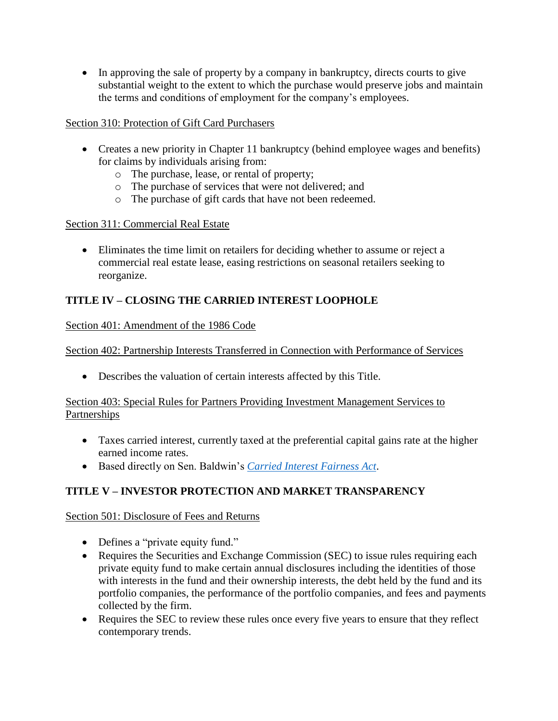• In approving the sale of property by a company in bankruptcy, directs courts to give substantial weight to the extent to which the purchase would preserve jobs and maintain the terms and conditions of employment for the company's employees.

## Section 310: Protection of Gift Card Purchasers

- Creates a new priority in Chapter 11 bankruptcy (behind employee wages and benefits) for claims by individuals arising from:
	- o The purchase, lease, or rental of property;
	- o The purchase of services that were not delivered; and
	- o The purchase of gift cards that have not been redeemed.

#### Section 311: Commercial Real Estate

 Eliminates the time limit on retailers for deciding whether to assume or reject a commercial real estate lease, easing restrictions on seasonal retailers seeking to reorganize.

## **TITLE IV – CLOSING THE CARRIED INTEREST LOOPHOLE**

#### Section 401: Amendment of the 1986 Code

Section 402: Partnership Interests Transferred in Connection with Performance of Services

Describes the valuation of certain interests affected by this Title.

#### Section 403: Special Rules for Partners Providing Investment Management Services to **Partnerships**

- Taxes carried interest, currently taxed at the preferential capital gains rate at the higher earned income rates.
- Based directly on Sen. Baldwin's *[Carried Interest Fairness Act](https://www.baldwin.senate.gov/imo/media/doc/Baldwin%20Carried%20Interest%20One%20Pager.pdf)*.

# **TITLE V – INVESTOR PROTECTION AND MARKET TRANSPARENCY**

Section 501: Disclosure of Fees and Returns

- Defines a "private equity fund."
- Requires the Securities and Exchange Commission (SEC) to issue rules requiring each private equity fund to make certain annual disclosures including the identities of those with interests in the fund and their ownership interests, the debt held by the fund and its portfolio companies, the performance of the portfolio companies, and fees and payments collected by the firm.
- Requires the SEC to review these rules once every five years to ensure that they reflect contemporary trends.